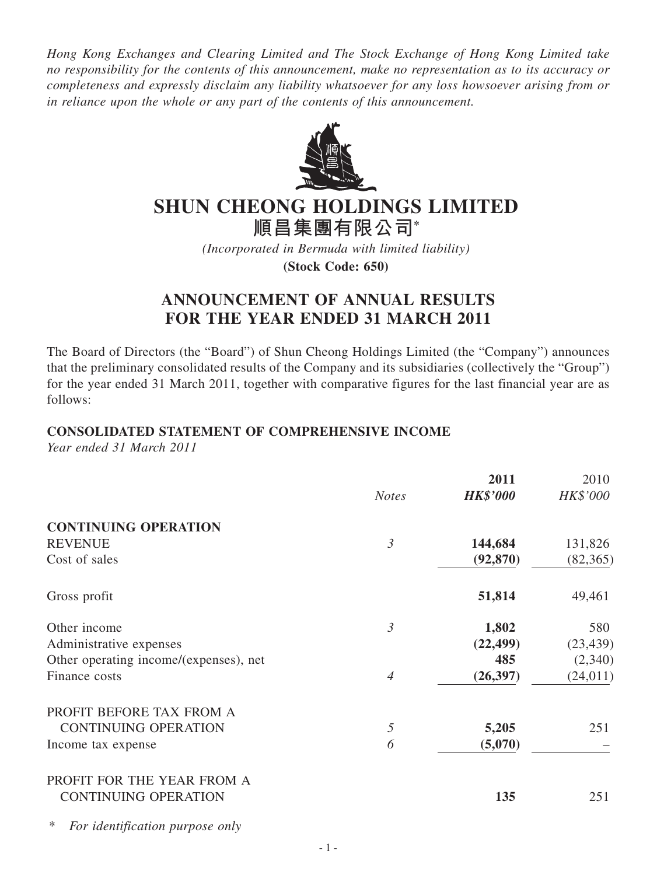*Hong Kong Exchanges and Clearing Limited and The Stock Exchange of Hong Kong Limited take no responsibility for the contents of this announcement, make no representation as to its accuracy or completeness and expressly disclaim any liability whatsoever for any loss howsoever arising from or in reliance upon the whole or any part of the contents of this announcement.*



# **SHUN CHEONG HOLDINGS LIMITED**

**順昌集團有限公司\***

*(Incorporated in Bermuda with limited liability)*

**(Stock Code: 650)**

# **ANNOUNCEMENT OF ANNUAL RESULTS FOR THE YEAR ENDED 31 MARCH 2011**

The Board of Directors (the "Board") of Shun Cheong Holdings Limited (the "Company") announces that the preliminary consolidated results of the Company and its subsidiaries (collectively the "Group") for the year ended 31 March 2011, together with comparative figures for the last financial year are as follows:

## **CONSOLIDATED STATEMENT OF COMPREHENSIVE INCOME**

*Year ended 31 March 2011*

|                                        | <b>Notes</b>   | 2011<br><b>HK\$'000</b> | 2010<br>HK\$'000 |
|----------------------------------------|----------------|-------------------------|------------------|
| <b>CONTINUING OPERATION</b>            |                |                         |                  |
| <b>REVENUE</b>                         | $\mathfrak{Z}$ | 144,684                 | 131,826          |
| Cost of sales                          |                | (92, 870)               | (82, 365)        |
| Gross profit                           |                | 51,814                  | 49,461           |
| Other income                           | $\mathfrak{Z}$ | 1,802                   | 580              |
| Administrative expenses                |                | (22, 499)               | (23, 439)        |
| Other operating income/(expenses), net |                | 485                     | (2,340)          |
| Finance costs                          | $\overline{4}$ | (26, 397)               | (24, 011)        |
| PROFIT BEFORE TAX FROM A               |                |                         |                  |
| <b>CONTINUING OPERATION</b>            | 5              | 5,205                   | 251              |
| Income tax expense                     | 6              | (5,070)                 |                  |
| PROFIT FOR THE YEAR FROM A             |                |                         |                  |
| <b>CONTINUING OPERATION</b>            |                | 135                     | 251              |

\* *For identification purpose only*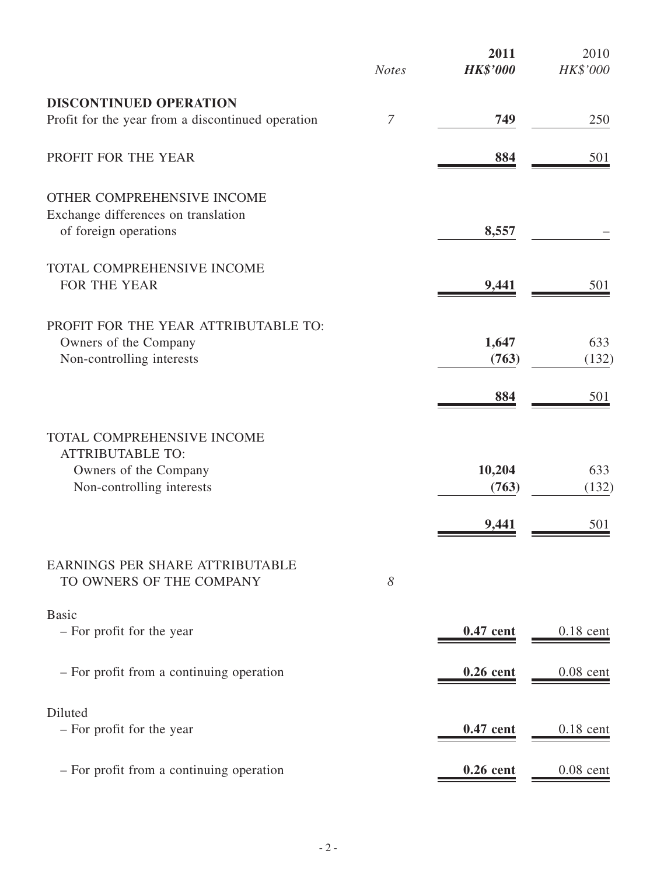|                                                                                            | <b>Notes</b>   | 2011<br><b>HK\$'000</b> | 2010<br>HK\$'000 |
|--------------------------------------------------------------------------------------------|----------------|-------------------------|------------------|
| <b>DISCONTINUED OPERATION</b>                                                              |                |                         |                  |
| Profit for the year from a discontinued operation                                          | $\overline{7}$ | 749                     | 250              |
| PROFIT FOR THE YEAR                                                                        |                | 884                     | 501              |
| OTHER COMPREHENSIVE INCOME<br>Exchange differences on translation<br>of foreign operations |                | 8,557                   |                  |
| TOTAL COMPREHENSIVE INCOME<br>FOR THE YEAR                                                 |                | 9,441                   | 501              |
| PROFIT FOR THE YEAR ATTRIBUTABLE TO:<br>Owners of the Company<br>Non-controlling interests |                | 1,647<br>(763)          | 633<br>(132)     |
|                                                                                            |                | 884                     | 501              |
| TOTAL COMPREHENSIVE INCOME<br><b>ATTRIBUTABLE TO:</b>                                      |                |                         |                  |
| Owners of the Company<br>Non-controlling interests                                         |                | 10,204<br>(763)         | 633<br>(132)     |
|                                                                                            |                | 9,441                   | 501              |
| EARNINGS PER SHARE ATTRIBUTABLE<br>TO OWNERS OF THE COMPANY                                | 8              |                         |                  |
| <b>Basic</b><br>- For profit for the year                                                  |                | 0.47 cent               | $0.18$ cent      |
| - For profit from a continuing operation                                                   |                | $0.26$ cent             | $0.08$ cent      |
| Diluted<br>- For profit for the year                                                       |                | 0.47 cent               | $0.18$ cent      |
| - For profit from a continuing operation                                                   |                | $0.26$ cent             | $0.08$ cent      |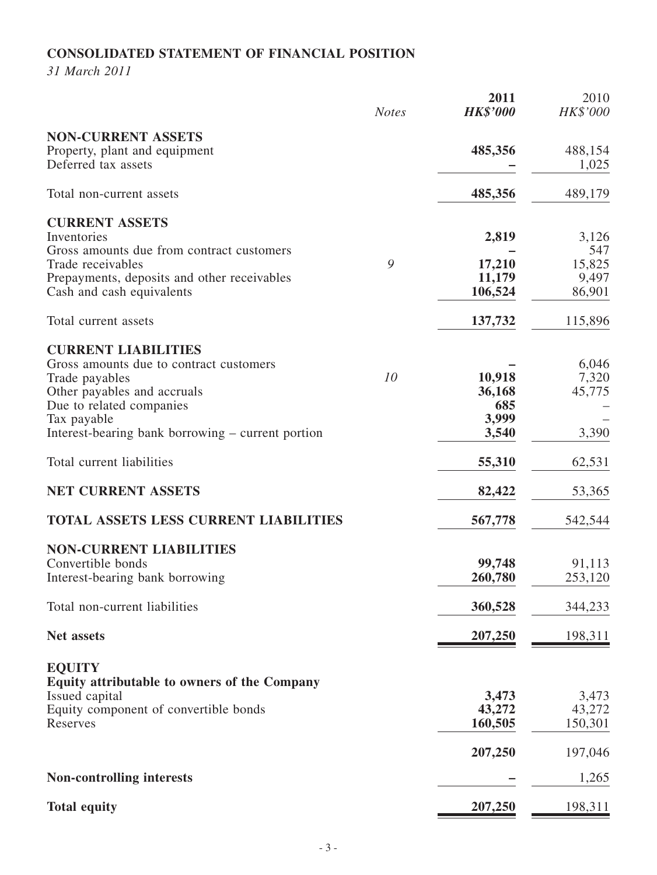# **CONSOLIDATED STATEMENT OF FINANCIAL POSITION**

*31 March 2011*

|                                                                                                                                                                                                                        | <b>Notes</b> | 2011<br><b>HK\$'000</b>                   | 2010<br>HK\$'000                          |
|------------------------------------------------------------------------------------------------------------------------------------------------------------------------------------------------------------------------|--------------|-------------------------------------------|-------------------------------------------|
| <b>NON-CURRENT ASSETS</b><br>Property, plant and equipment<br>Deferred tax assets                                                                                                                                      |              | 485,356                                   | 488,154<br>1,025                          |
| Total non-current assets                                                                                                                                                                                               |              | 485,356                                   | 489,179                                   |
| <b>CURRENT ASSETS</b><br>Inventories<br>Gross amounts due from contract customers<br>Trade receivables<br>Prepayments, deposits and other receivables<br>Cash and cash equivalents                                     | 9            | 2,819<br>17,210<br>11,179<br>106,524      | 3,126<br>547<br>15,825<br>9,497<br>86,901 |
| Total current assets                                                                                                                                                                                                   |              | 137,732                                   | 115,896                                   |
| <b>CURRENT LIABILITIES</b><br>Gross amounts due to contract customers<br>Trade payables<br>Other payables and accruals<br>Due to related companies<br>Tax payable<br>Interest-bearing bank borrowing – current portion | 10           | 10,918<br>36,168<br>685<br>3,999<br>3,540 | 6,046<br>7,320<br>45,775<br>3,390         |
| Total current liabilities                                                                                                                                                                                              |              | 55,310                                    | 62,531                                    |
| <b>NET CURRENT ASSETS</b>                                                                                                                                                                                              |              | 82,422                                    | 53,365                                    |
| <b>TOTAL ASSETS LESS CURRENT LIABILITIES</b>                                                                                                                                                                           |              | 567,778                                   | 542,544                                   |
| <b>NON-CURRENT LIABILITIES</b><br>Convertible bonds<br>Interest-bearing bank borrowing<br>Total non-current liabilities                                                                                                |              | 99,748<br>260,780<br>360,528              | 91,113<br>253,120<br>344,233              |
| <b>Net assets</b>                                                                                                                                                                                                      |              | <u>207,250</u>                            | <u>198,311</u>                            |
| <b>EQUITY</b><br>Equity attributable to owners of the Company<br>Issued capital<br>Equity component of convertible bonds<br>Reserves                                                                                   |              | 3,473<br>43,272<br>160,505<br>207,250     | 3,473<br>43,272<br>150,301<br>197,046     |
| <b>Non-controlling interests</b>                                                                                                                                                                                       |              |                                           | 1,265                                     |
| <b>Total equity</b>                                                                                                                                                                                                    |              | 207,250                                   | <u>198,311</u>                            |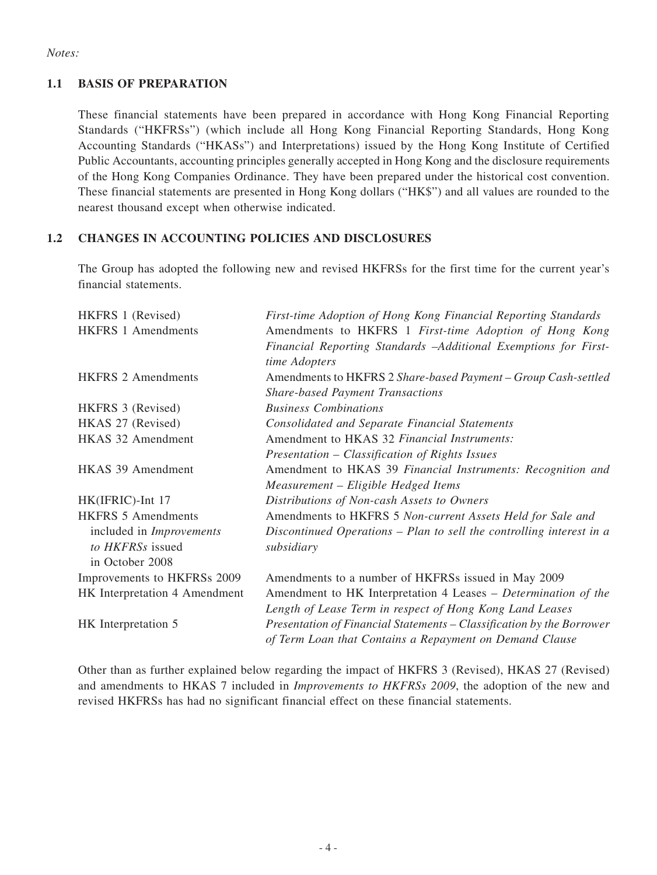#### *Notes:*

### **1.1 BASIS OF PREPARATION**

These financial statements have been prepared in accordance with Hong Kong Financial Reporting Standards ("HKFRSs") (which include all Hong Kong Financial Reporting Standards, Hong Kong Accounting Standards ("HKASs") and Interpretations) issued by the Hong Kong Institute of Certified Public Accountants, accounting principles generally accepted in Hong Kong and the disclosure requirements of the Hong Kong Companies Ordinance. They have been prepared under the historical cost convention. These financial statements are presented in Hong Kong dollars ("HK\$") and all values are rounded to the nearest thousand except when otherwise indicated.

## **1.2 CHANGES IN ACCOUNTING POLICIES AND DISCLOSURES**

The Group has adopted the following new and revised HKFRSs for the first time for the current year's financial statements.

| HKFRS 1 (Revised)               | First-time Adoption of Hong Kong Financial Reporting Standards        |
|---------------------------------|-----------------------------------------------------------------------|
| <b>HKFRS 1 Amendments</b>       | Amendments to HKFRS 1 First-time Adoption of Hong Kong                |
|                                 | Financial Reporting Standards -Additional Exemptions for First-       |
|                                 | time Adopters                                                         |
| <b>HKFRS 2 Amendments</b>       | Amendments to HKFRS 2 Share-based Payment - Group Cash-settled        |
|                                 | <b>Share-based Payment Transactions</b>                               |
| HKFRS 3 (Revised)               | <b>Business Combinations</b>                                          |
| HKAS 27 (Revised)               | <b>Consolidated and Separate Financial Statements</b>                 |
| <b>HKAS 32 Amendment</b>        | Amendment to HKAS 32 Financial Instruments:                           |
|                                 | Presentation – Classification of Rights Issues                        |
| HKAS 39 Amendment               | Amendment to HKAS 39 Financial Instruments: Recognition and           |
|                                 | Measurement - Eligible Hedged Items                                   |
| HK(IFRIC)-Int 17                | Distributions of Non-cash Assets to Owners                            |
| <b>HKFRS 5 Amendments</b>       | Amendments to HKFRS 5 Non-current Assets Held for Sale and            |
| included in <i>Improvements</i> | Discontinued Operations – Plan to sell the controlling interest in a  |
| to HKFRSs issued                | subsidiary                                                            |
| in October 2008                 |                                                                       |
| Improvements to HKFRSs 2009     | Amendments to a number of HKFRSs issued in May 2009                   |
| HK Interpretation 4 Amendment   | Amendment to HK Interpretation 4 Leases - Determination of the        |
|                                 | Length of Lease Term in respect of Hong Kong Land Leases              |
| HK Interpretation 5             | Presentation of Financial Statements – Classification by the Borrower |
|                                 | of Term Loan that Contains a Repayment on Demand Clause               |

Other than as further explained below regarding the impact of HKFRS 3 (Revised), HKAS 27 (Revised) and amendments to HKAS 7 included in *Improvements to HKFRSs 2009*, the adoption of the new and revised HKFRSs has had no significant financial effect on these financial statements.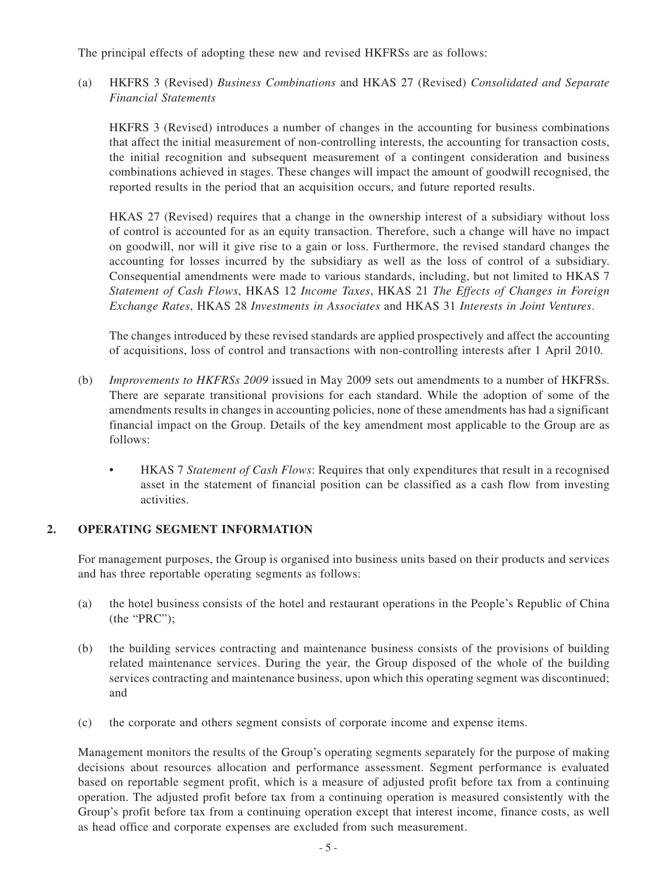The principal effects of adopting these new and revised HKFRSs are as follows:

(a) HKFRS 3 (Revised) *Business Combinations* and HKAS 27 (Revised) *Consolidated and Separate Financial Statements*

HKFRS 3 (Revised) introduces a number of changes in the accounting for business combinations that affect the initial measurement of non-controlling interests, the accounting for transaction costs, the initial recognition and subsequent measurement of a contingent consideration and business combinations achieved in stages. These changes will impact the amount of goodwill recognised, the reported results in the period that an acquisition occurs, and future reported results.

HKAS 27 (Revised) requires that a change in the ownership interest of a subsidiary without loss of control is accounted for as an equity transaction. Therefore, such a change will have no impact on goodwill, nor will it give rise to a gain or loss. Furthermore, the revised standard changes the accounting for losses incurred by the subsidiary as well as the loss of control of a subsidiary. Consequential amendments were made to various standards, including, but not limited to HKAS 7 *Statement of Cash Flows*, HKAS 12 *Income Taxes*, HKAS 21 *The Effects of Changes in Foreign Exchange Rates*, HKAS 28 *Investments in Associates* and HKAS 31 *Interests in Joint Ventures*.

The changes introduced by these revised standards are applied prospectively and affect the accounting of acquisitions, loss of control and transactions with non-controlling interests after 1 April 2010.

- (b) *Improvements to HKFRSs 2009* issued in May 2009 sets out amendments to a number of HKFRSs. There are separate transitional provisions for each standard. While the adoption of some of the amendments results in changes in accounting policies, none of these amendments has had a significant financial impact on the Group. Details of the key amendment most applicable to the Group are as follows:
	- HKAS 7 *Statement of Cash Flows*: Requires that only expenditures that result in a recognised asset in the statement of financial position can be classified as a cash flow from investing activities.

### **2. OPERATING SEGMENT INFORMATION**

For management purposes, the Group is organised into business units based on their products and services and has three reportable operating segments as follows:

- (a) the hotel business consists of the hotel and restaurant operations in the People's Republic of China (the "PRC");
- (b) the building services contracting and maintenance business consists of the provisions of building related maintenance services. During the year, the Group disposed of the whole of the building services contracting and maintenance business, upon which this operating segment was discontinued; and
- (c) the corporate and others segment consists of corporate income and expense items.

Management monitors the results of the Group's operating segments separately for the purpose of making decisions about resources allocation and performance assessment. Segment performance is evaluated based on reportable segment profit, which is a measure of adjusted profit before tax from a continuing operation. The adjusted profit before tax from a continuing operation is measured consistently with the Group's profit before tax from a continuing operation except that interest income, finance costs, as well as head office and corporate expenses are excluded from such measurement.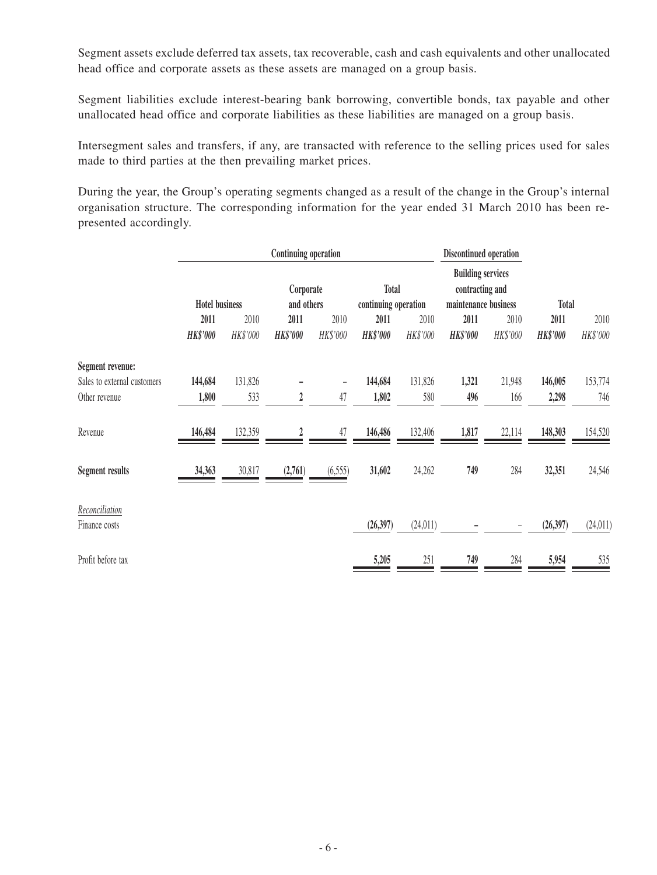Segment assets exclude deferred tax assets, tax recoverable, cash and cash equivalents and other unallocated head office and corporate assets as these assets are managed on a group basis.

Segment liabilities exclude interest-bearing bank borrowing, convertible bonds, tax payable and other unallocated head office and corporate liabilities as these liabilities are managed on a group basis.

Intersegment sales and transfers, if any, are transacted with reference to the selling prices used for sales made to third parties at the then prevailing market prices.

During the year, the Group's operating segments changed as a result of the change in the Group's internal organisation structure. The corresponding information for the year ended 31 March 2010 has been represented accordingly.

|                                 | Continuing operation    |                  |                                         |                          |                                                                                             | Discontinued operation |                         |                  |                         |                  |
|---------------------------------|-------------------------|------------------|-----------------------------------------|--------------------------|---------------------------------------------------------------------------------------------|------------------------|-------------------------|------------------|-------------------------|------------------|
|                                 | <b>Hotel business</b>   |                  | <b>Total</b><br>Corporate<br>and others |                          | <b>Building services</b><br>contracting and<br>continuing operation<br>maintenance business |                        |                         | <b>Total</b>     |                         |                  |
|                                 | 2011<br><b>HK\$'000</b> | 2010<br>HK\$'000 | 2011<br><b>HK\$'000</b>                 | 2010<br>HK\$'000         | 2011<br><b>HK\$'000</b>                                                                     | 2010<br>HK\$'000       | 2011<br><b>HK\$'000</b> | 2010<br>HK\$'000 | 2011<br><b>HK\$'000</b> | 2010<br>HK\$'000 |
| Segment revenue:                |                         |                  |                                         |                          |                                                                                             |                        |                         |                  |                         |                  |
| Sales to external customers     | 144,684                 | 131,826          |                                         | $\overline{\phantom{0}}$ | 144,684                                                                                     | 131,826                | 1,321                   | 21,948           | 146,005                 | 153,774          |
| Other revenue                   | 1,800                   | 533              | 2                                       | 47                       | 1,802                                                                                       | 580                    | 496                     | 166              | 2,298                   | 746              |
| Revenue                         | 146,484                 | 132,359          |                                         | 47                       | 146,486                                                                                     | 132,406                | 1,817                   | 22,114           | 148,303                 | 154,520          |
| <b>Segment results</b>          | 34,363                  | 30,817           | (2,761)                                 | (6, 555)                 | 31,602                                                                                      | 24,262                 | 749                     | 284              | 32,351                  | 24,546           |
| Reconciliation<br>Finance costs |                         |                  |                                         |                          | (26, 397)                                                                                   | (24, 011)              |                         | -                | (26, 397)               | (24, 011)        |
| Profit before tax               |                         |                  |                                         |                          | 5,205                                                                                       | 251                    | 749                     | 284              | 5,954                   | 535              |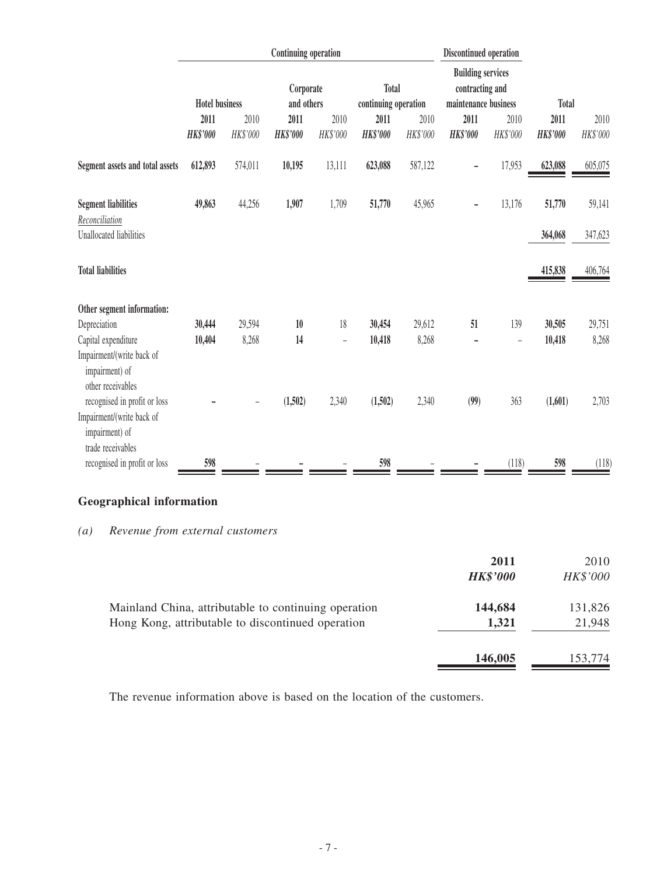|                                                                                                  | <b>Continuing operation</b> |                  |                         |                  |                                      | Discontinued operation |                                                                     |                   |                         |                  |
|--------------------------------------------------------------------------------------------------|-----------------------------|------------------|-------------------------|------------------|--------------------------------------|------------------------|---------------------------------------------------------------------|-------------------|-------------------------|------------------|
|                                                                                                  | <b>Hotel business</b>       |                  | Corporate<br>and others |                  | <b>Total</b><br>continuing operation |                        | <b>Building services</b><br>contracting and<br>maintenance business |                   | <b>Total</b>            |                  |
|                                                                                                  | 2011<br><b>HK\$'000</b>     | 2010<br>HK\$'000 | 2011<br><b>HK\$'000</b> | 2010<br>HK\$'000 | 2011<br><b>HK\$'000</b>              | 2010<br>HK\$'000       | 2011<br><b>HK\$'000</b>                                             | 2010<br>HK\$'000  | 2011<br><b>HK\$'000</b> | 2010<br>HK\$'000 |
| Segment assets and total assets                                                                  | 612,893                     | 574,011          | 10,195                  | 13,111           | 623,088                              | 587,122                |                                                                     | 17,953            | 623,088                 | 605,075          |
| <b>Segment liabilities</b><br>Reconciliation                                                     | 49,863                      | 44,256           | 1,907                   | 1,709            | 51,770                               | 45,965                 | -                                                                   | 13,176            | 51,770                  | 59,141           |
| Unallocated liabilities                                                                          |                             |                  |                         |                  |                                      |                        |                                                                     |                   | 364,068                 | 347,623          |
| <b>Total liabilities</b>                                                                         |                             |                  |                         |                  |                                      |                        |                                                                     |                   | 415,838                 | 406,764          |
| Other segment information:                                                                       |                             |                  |                         |                  |                                      |                        |                                                                     |                   |                         |                  |
| Depreciation                                                                                     | 30,444                      | 29,594           | 10                      | 18               | 30,454                               | 29,612                 | 51                                                                  | 139               | 30,505                  | 29,751           |
| Capital expenditure<br>Impairment/(write back of<br>impairment) of<br>other receivables          | 10,404                      | 8,268            | 14                      | $\overline{a}$   | 10,418                               | 8,268                  |                                                                     | $\qquad \qquad -$ | 10,418                  | 8,268            |
| recognised in profit or loss<br>Impairment/(write back of<br>impairment) of<br>trade receivables |                             |                  | (1,502)                 | 2,340            | (1,502)                              | 2,340                  | (99)                                                                | 363               | (1,601)                 | 2,703            |
| recognised in profit or loss                                                                     | 598                         |                  |                         |                  | 598                                  |                        |                                                                     | (118)             | 598                     | (118)            |

# **Geographical information**

# *(a) Revenue from external customers*

|                                                                                                           | 2011<br><b>HK\$'000</b> | 2010<br>HK\$'000  |
|-----------------------------------------------------------------------------------------------------------|-------------------------|-------------------|
| Mainland China, attributable to continuing operation<br>Hong Kong, attributable to discontinued operation | 144,684<br>1,321        | 131,826<br>21,948 |
|                                                                                                           | 146,005                 | 153,774           |

The revenue information above is based on the location of the customers.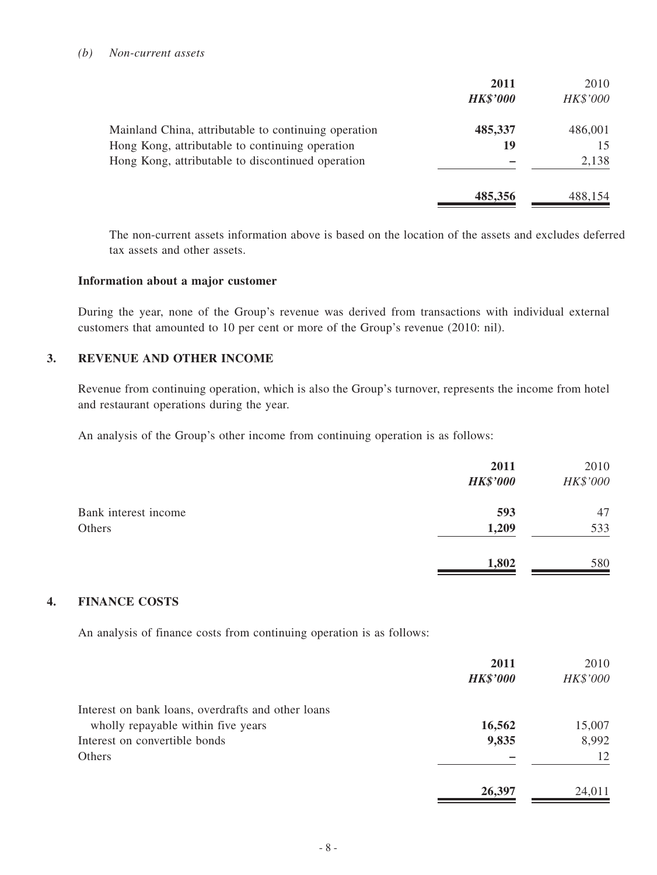#### *(b) Non-current assets*

|                                                      | 2011<br><b>HK\$'000</b> | 2010<br>HK\$'000 |
|------------------------------------------------------|-------------------------|------------------|
| Mainland China, attributable to continuing operation | 485,337                 | 486,001          |
| Hong Kong, attributable to continuing operation      | 19                      | 15               |
| Hong Kong, attributable to discontinued operation    |                         | 2,138            |
|                                                      | 485,356                 | 488,154          |

The non-current assets information above is based on the location of the assets and excludes deferred tax assets and other assets.

#### **Information about a major customer**

During the year, none of the Group's revenue was derived from transactions with individual external customers that amounted to 10 per cent or more of the Group's revenue (2010: nil).

#### **3. REVENUE AND OTHER INCOME**

Revenue from continuing operation, which is also the Group's turnover, represents the income from hotel and restaurant operations during the year.

An analysis of the Group's other income from continuing operation is as follows:

|                      | 2011<br><b>HK\$'000</b> | 2010<br>HK\$'000 |
|----------------------|-------------------------|------------------|
| Bank interest income | 593                     | 47               |
| Others               | 1,209                   | 533              |
|                      | 1,802                   | 580              |

#### **4. FINANCE COSTS**

An analysis of finance costs from continuing operation is as follows:

|                                                    | 2011            | 2010     |
|----------------------------------------------------|-----------------|----------|
|                                                    | <b>HK\$'000</b> | HK\$'000 |
| Interest on bank loans, overdrafts and other loans |                 |          |
| wholly repayable within five years                 | 16,562          | 15,007   |
| Interest on convertible bonds                      | 9,835           | 8,992    |
| <b>Others</b>                                      |                 | 12       |
|                                                    | 26,397          | 24,011   |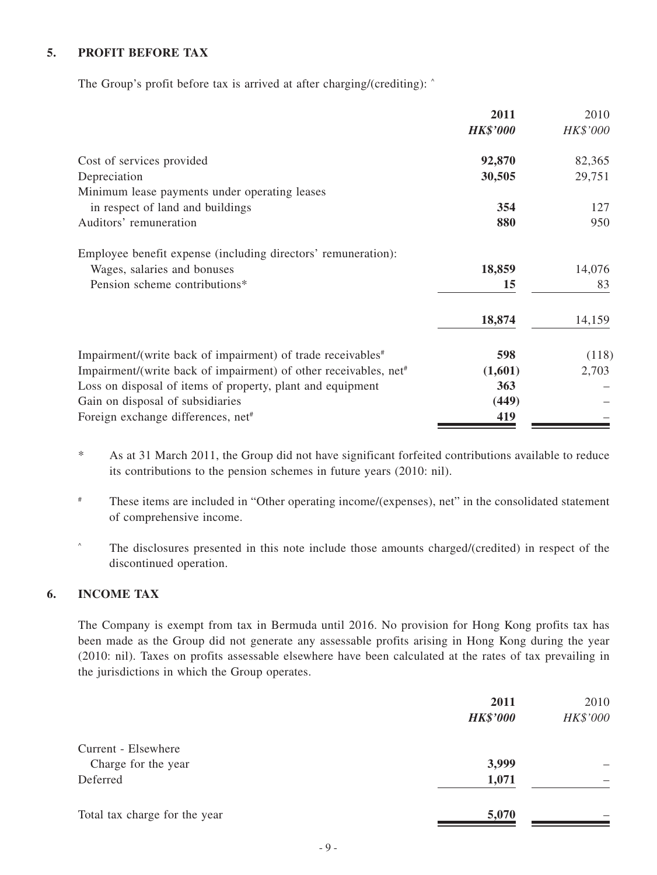### **5. PROFIT BEFORE TAX**

The Group's profit before tax is arrived at after charging/(crediting):  $\hat{ }$ 

|                                                                              | 2011            | 2010     |
|------------------------------------------------------------------------------|-----------------|----------|
|                                                                              | <b>HK\$'000</b> | HK\$'000 |
| Cost of services provided                                                    | 92,870          | 82,365   |
| Depreciation                                                                 | 30,505          | 29,751   |
| Minimum lease payments under operating leases                                |                 |          |
| in respect of land and buildings                                             | 354             | 127      |
| Auditors' remuneration                                                       | 880             | 950      |
| Employee benefit expense (including directors' remuneration):                |                 |          |
| Wages, salaries and bonuses                                                  | 18,859          | 14,076   |
| Pension scheme contributions*                                                | 15              | 83       |
|                                                                              | 18,874          | 14,159   |
| Impairment/(write back of impairment) of trade receivables <sup>#</sup>      | 598             | (118)    |
| Impairment/(write back of impairment) of other receivables, net <sup>#</sup> | (1,601)         | 2,703    |
| Loss on disposal of items of property, plant and equipment                   | 363             |          |
| Gain on disposal of subsidiaries                                             | (449)           |          |
| Foreign exchange differences, net <sup>#</sup>                               | 419             |          |

- \* As at 31 March 2011, the Group did not have significant forfeited contributions available to reduce its contributions to the pension schemes in future years (2010: nil).
- # These items are included in "Other operating income/(expenses), net" in the consolidated statement of comprehensive income.
- ^ The disclosures presented in this note include those amounts charged/(credited) in respect of the discontinued operation.

#### **6. INCOME TAX**

The Company is exempt from tax in Bermuda until 2016. No provision for Hong Kong profits tax has been made as the Group did not generate any assessable profits arising in Hong Kong during the year (2010: nil). Taxes on profits assessable elsewhere have been calculated at the rates of tax prevailing in the jurisdictions in which the Group operates.

|                               | 2011<br><b>HK\$'000</b> | 2010<br>HK\$'000 |
|-------------------------------|-------------------------|------------------|
| Current - Elsewhere           |                         |                  |
| Charge for the year           | 3,999                   | —                |
| Deferred                      | 1,071                   |                  |
| Total tax charge for the year | 5,070                   |                  |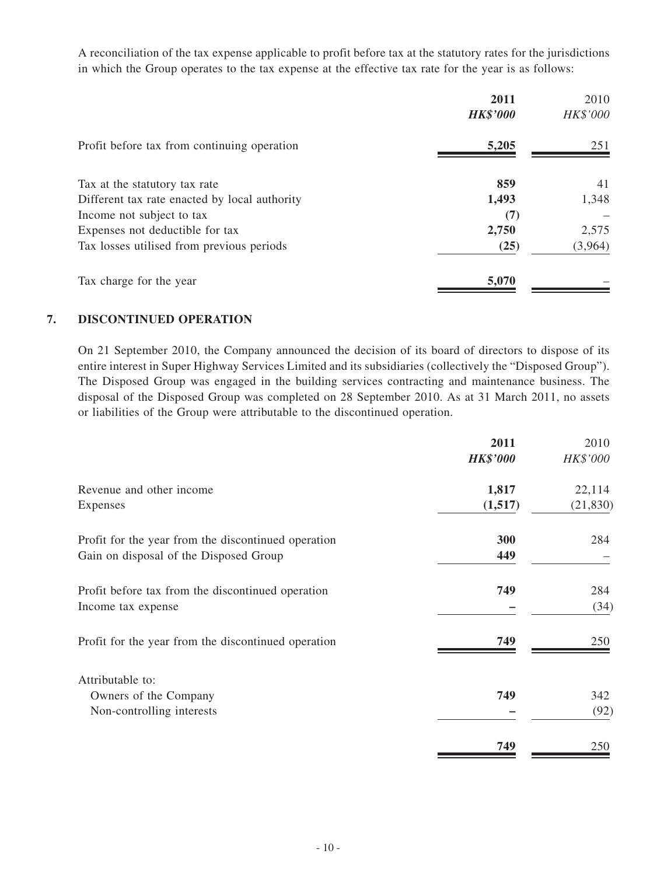A reconciliation of the tax expense applicable to profit before tax at the statutory rates for the jurisdictions in which the Group operates to the tax expense at the effective tax rate for the year is as follows:

|                                               | 2011<br><b>HK\$'000</b> | 2010<br>HK\$'000 |
|-----------------------------------------------|-------------------------|------------------|
| Profit before tax from continuing operation   | 5,205                   | 251              |
| Tax at the statutory tax rate                 | 859                     | 41               |
| Different tax rate enacted by local authority | 1,493                   | 1,348            |
| Income not subject to tax                     | (7)                     |                  |
| Expenses not deductible for tax               | 2,750                   | 2,575            |
| Tax losses utilised from previous periods     | (25)                    | (3,964)          |
| Tax charge for the year                       | 5,070                   |                  |

#### **7. DISCONTINUED OPERATION**

On 21 September 2010, the Company announced the decision of its board of directors to dispose of its entire interest in Super Highway Services Limited and its subsidiaries (collectively the "Disposed Group"). The Disposed Group was engaged in the building services contracting and maintenance business. The disposal of the Disposed Group was completed on 28 September 2010. As at 31 March 2011, no assets or liabilities of the Group were attributable to the discontinued operation.

| 2011            | 2010      |
|-----------------|-----------|
| <b>HK\$'000</b> | HK\$'000  |
| 1,817           | 22,114    |
| (1,517)         | (21, 830) |
| 300             | 284       |
| 449             |           |
| 749             | 284       |
|                 | (34)      |
| 749             | 250       |
|                 |           |
| 749             | 342       |
|                 | (92)      |
| 749             | 250       |
|                 |           |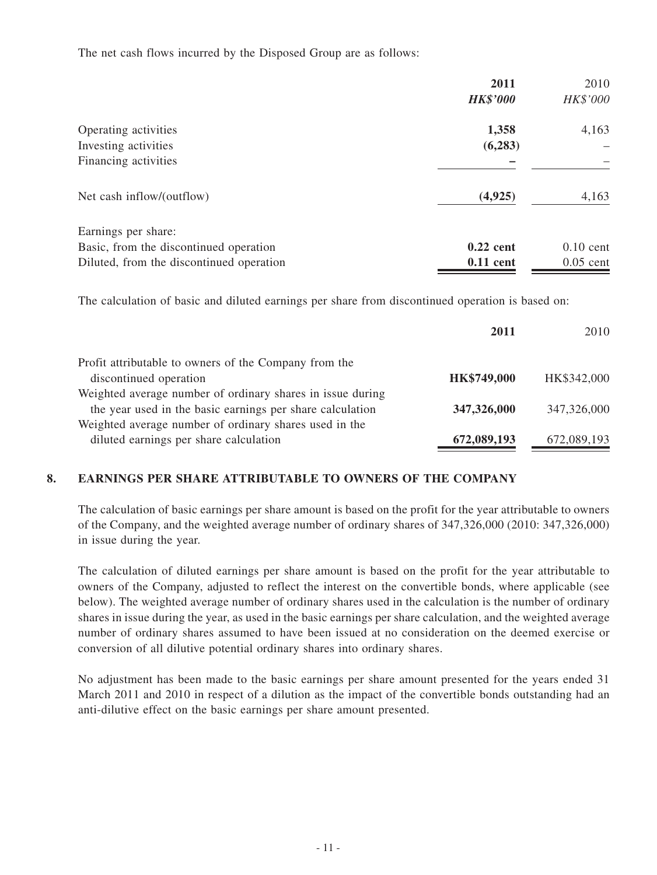The net cash flows incurred by the Disposed Group are as follows:

|                                          | 2011            | 2010        |
|------------------------------------------|-----------------|-------------|
|                                          | <b>HK\$'000</b> | HK\$'000    |
| Operating activities                     | 1,358           | 4,163       |
| Investing activities                     | (6, 283)        |             |
| Financing activities                     |                 |             |
| Net cash inflow/(outflow)                | (4,925)         | 4,163       |
| Earnings per share:                      |                 |             |
| Basic, from the discontinued operation   | $0.22$ cent     | $0.10$ cent |
| Diluted, from the discontinued operation | $0.11$ cent     | $0.05$ cent |

The calculation of basic and diluted earnings per share from discontinued operation is based on:

|                                                            | 2011        | 2010        |
|------------------------------------------------------------|-------------|-------------|
| Profit attributable to owners of the Company from the      |             |             |
| discontinued operation                                     | HK\$749,000 | HK\$342,000 |
| Weighted average number of ordinary shares in issue during |             |             |
| the year used in the basic earnings per share calculation  | 347,326,000 | 347,326,000 |
| Weighted average number of ordinary shares used in the     |             |             |
| diluted earnings per share calculation                     | 672,089,193 | 672,089,193 |
|                                                            |             |             |

### **8. EARNINGS PER SHARE ATTRIBUTABLE TO owners OF THE Company**

The calculation of basic earnings per share amount is based on the profit for the year attributable to owners of the Company, and the weighted average number of ordinary shares of 347,326,000 (2010: 347,326,000) in issue during the year.

The calculation of diluted earnings per share amount is based on the profit for the year attributable to owners of the Company, adjusted to reflect the interest on the convertible bonds, where applicable (see below). The weighted average number of ordinary shares used in the calculation is the number of ordinary shares in issue during the year, as used in the basic earnings per share calculation, and the weighted average number of ordinary shares assumed to have been issued at no consideration on the deemed exercise or conversion of all dilutive potential ordinary shares into ordinary shares.

No adjustment has been made to the basic earnings per share amount presented for the years ended 31 March 2011 and 2010 in respect of a dilution as the impact of the convertible bonds outstanding had an anti-dilutive effect on the basic earnings per share amount presented.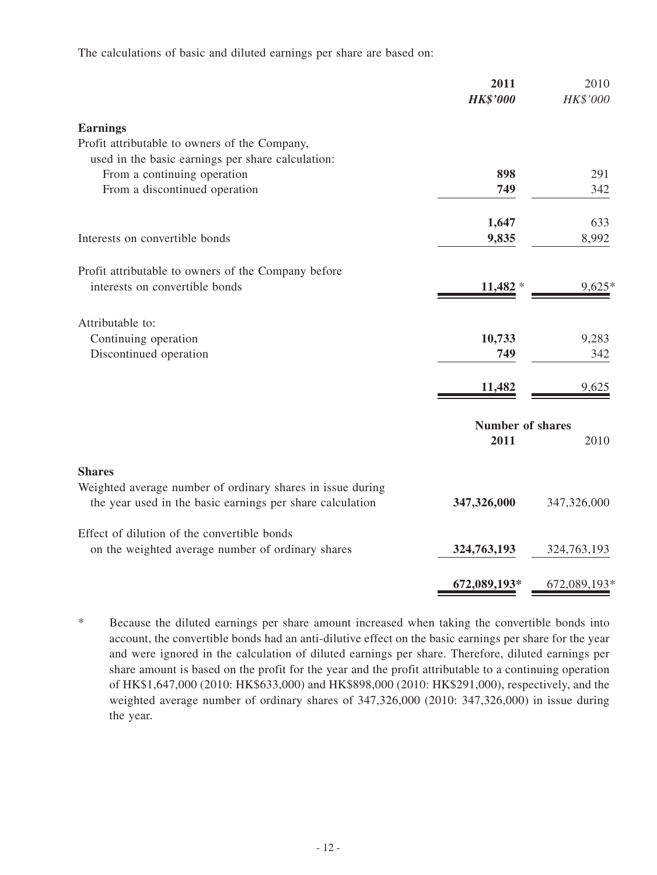The calculations of basic and diluted earnings per share are based on:

|                                                            | 2011<br><b>HK\$'000</b> | 2010<br>HK\$'000 |
|------------------------------------------------------------|-------------------------|------------------|
| <b>Earnings</b>                                            |                         |                  |
| Profit attributable to owners of the Company,              |                         |                  |
| used in the basic earnings per share calculation:          |                         |                  |
| From a continuing operation                                | 898                     | 291              |
| From a discontinued operation                              | 749                     | 342              |
|                                                            | 1,647                   | 633              |
| Interests on convertible bonds                             | 9,835                   | 8,992            |
| Profit attributable to owners of the Company before        |                         |                  |
| interests on convertible bonds                             | $11,482*$               | 9,625            |
|                                                            |                         |                  |
| Attributable to:                                           |                         |                  |
| Continuing operation                                       | 10,733                  | 9,283            |
| Discontinued operation                                     | 749                     | 342              |
|                                                            | 11,482                  | 9,625            |
|                                                            | <b>Number of shares</b> |                  |
|                                                            | 2011                    | 2010             |
| <b>Shares</b>                                              |                         |                  |
| Weighted average number of ordinary shares in issue during |                         |                  |
| the year used in the basic earnings per share calculation  | 347,326,000             | 347,326,000      |
| Effect of dilution of the convertible bonds                |                         |                  |
| on the weighted average number of ordinary shares          | 324,763,193             | 324,763,193      |
|                                                            | 672,089,193*            | 672,089,193*     |

\* Because the diluted earnings per share amount increased when taking the convertible bonds into account, the convertible bonds had an anti-dilutive effect on the basic earnings per share for the year and were ignored in the calculation of diluted earnings per share. Therefore, diluted earnings per share amount is based on the profit for the year and the profit attributable to a continuing operation of HK\$1,647,000 (2010: HK\$633,000) and HK\$898,000 (2010: HK\$291,000), respectively, and the weighted average number of ordinary shares of 347,326,000 (2010: 347,326,000) in issue during the year.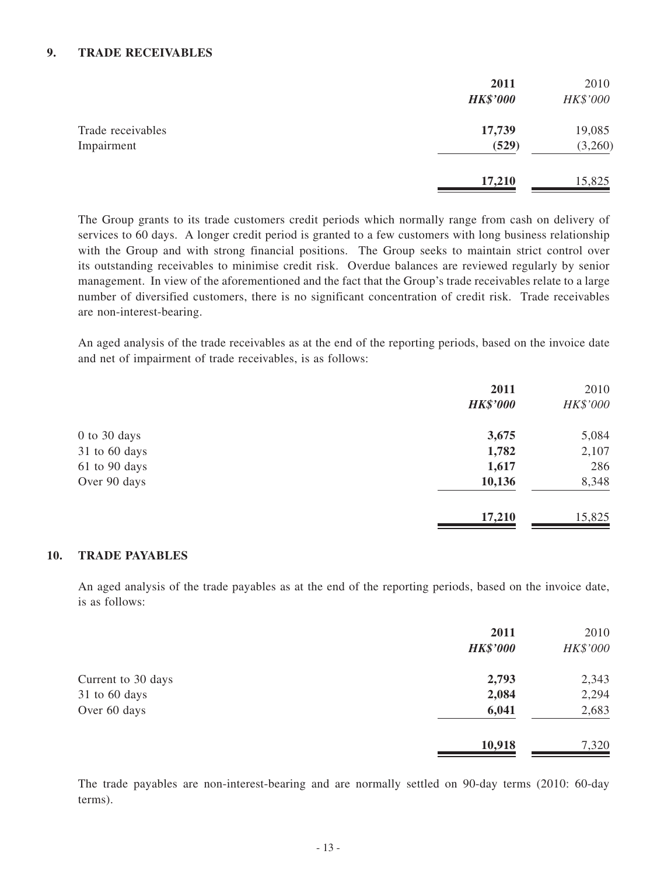#### **9. TRADE RECEIVABLES**

|                                 | 2011<br><b>HK\$'000</b> | 2010<br>HK\$'000  |
|---------------------------------|-------------------------|-------------------|
| Trade receivables<br>Impairment | 17,739<br>(529)         | 19,085<br>(3,260) |
|                                 | 17,210                  | 15,825            |

The Group grants to its trade customers credit periods which normally range from cash on delivery of services to 60 days. A longer credit period is granted to a few customers with long business relationship with the Group and with strong financial positions. The Group seeks to maintain strict control over its outstanding receivables to minimise credit risk. Overdue balances are reviewed regularly by senior management. In view of the aforementioned and the fact that the Group's trade receivables relate to a large number of diversified customers, there is no significant concentration of credit risk. Trade receivables are non-interest-bearing.

An aged analysis of the trade receivables as at the end of the reporting periods, based on the invoice date and net of impairment of trade receivables, is as follows:

|               | 2011<br><b>HK\$'000</b> | 2010<br>HK\$'000 |
|---------------|-------------------------|------------------|
| 0 to 30 days  | 3,675                   | 5,084            |
| 31 to 60 days | 1,782                   | 2,107            |
| 61 to 90 days | 1,617                   | 286              |
| Over 90 days  | 10,136                  | 8,348            |
|               | 17,210                  | 15,825           |

#### **10. TRADE PAYABLES**

An aged analysis of the trade payables as at the end of the reporting periods, based on the invoice date, is as follows:

|                    | 2011<br><b>HK\$'000</b> | 2010<br>HK\$'000 |
|--------------------|-------------------------|------------------|
| Current to 30 days | 2,793                   | 2,343            |
| 31 to 60 days      | 2,084                   | 2,294            |
| Over 60 days       | 6,041                   | 2,683            |
|                    | 10,918                  | 7,320            |

The trade payables are non-interest-bearing and are normally settled on 90-day terms (2010: 60-day terms).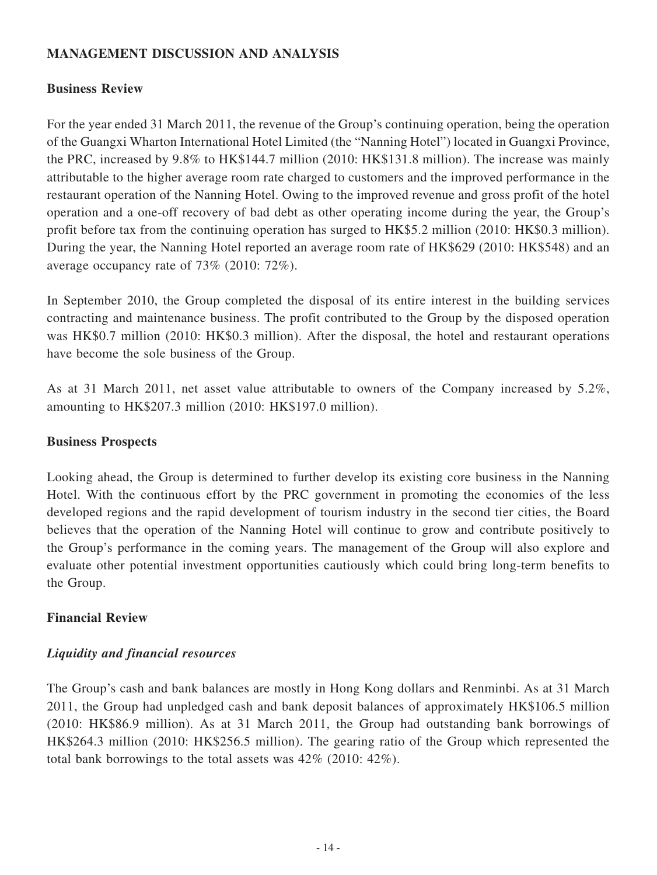# **MANAGEMENT DISCUSSION AND ANALYSIS**

# **Business Review**

For the year ended 31 March 2011, the revenue of the Group's continuing operation, being the operation of the Guangxi Wharton International Hotel Limited (the "Nanning Hotel") located in Guangxi Province, the PRC, increased by 9.8% to HK\$144.7 million (2010: HK\$131.8 million). The increase was mainly attributable to the higher average room rate charged to customers and the improved performance in the restaurant operation of the Nanning Hotel. Owing to the improved revenue and gross profit of the hotel operation and a one-off recovery of bad debt as other operating income during the year, the Group's profit before tax from the continuing operation has surged to HK\$5.2 million (2010: HK\$0.3 million). During the year, the Nanning Hotel reported an average room rate of HK\$629 (2010: HK\$548) and an average occupancy rate of 73% (2010: 72%).

In September 2010, the Group completed the disposal of its entire interest in the building services contracting and maintenance business. The profit contributed to the Group by the disposed operation was HK\$0.7 million (2010: HK\$0.3 million). After the disposal, the hotel and restaurant operations have become the sole business of the Group.

As at 31 March 2011, net asset value attributable to owners of the Company increased by 5.2%, amounting to HK\$207.3 million (2010: HK\$197.0 million).

### **Business Prospects**

Looking ahead, the Group is determined to further develop its existing core business in the Nanning Hotel. With the continuous effort by the PRC government in promoting the economies of the less developed regions and the rapid development of tourism industry in the second tier cities, the Board believes that the operation of the Nanning Hotel will continue to grow and contribute positively to the Group's performance in the coming years. The management of the Group will also explore and evaluate other potential investment opportunities cautiously which could bring long-term benefits to the Group.

### **Financial Review**

# *Liquidity and financial resources*

The Group's cash and bank balances are mostly in Hong Kong dollars and Renminbi. As at 31 March 2011, the Group had unpledged cash and bank deposit balances of approximately HK\$106.5 million (2010: HK\$86.9 million). As at 31 March 2011, the Group had outstanding bank borrowings of HK\$264.3 million (2010: HK\$256.5 million). The gearing ratio of the Group which represented the total bank borrowings to the total assets was 42% (2010: 42%).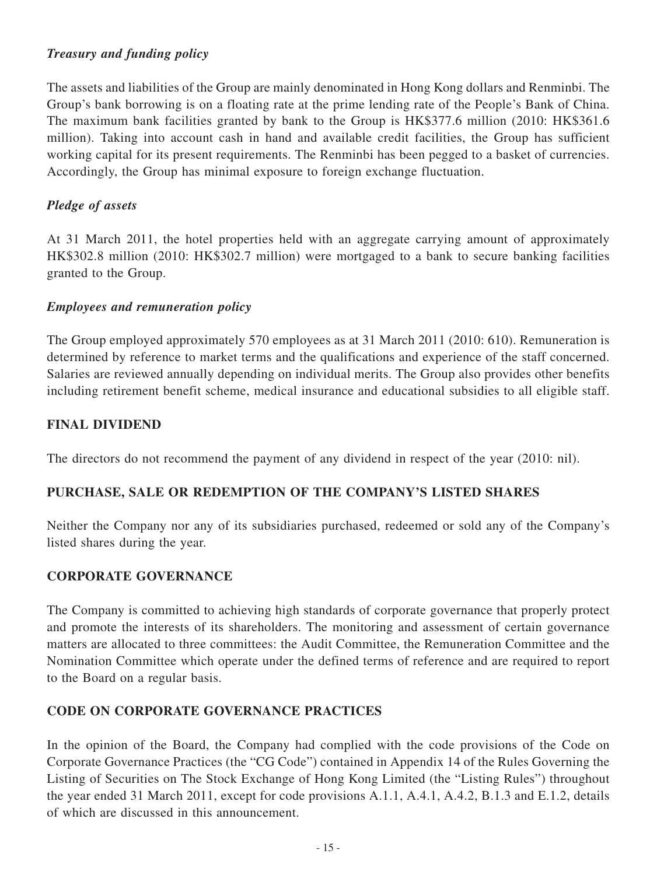# *Treasury and funding policy*

The assets and liabilities of the Group are mainly denominated in Hong Kong dollars and Renminbi. The Group's bank borrowing is on a floating rate at the prime lending rate of the People's Bank of China. The maximum bank facilities granted by bank to the Group is HK\$377.6 million (2010: HK\$361.6 million). Taking into account cash in hand and available credit facilities, the Group has sufficient working capital for its present requirements. The Renminbi has been pegged to a basket of currencies. Accordingly, the Group has minimal exposure to foreign exchange fluctuation.

# *Pledge of assets*

At 31 March 2011, the hotel properties held with an aggregate carrying amount of approximately HK\$302.8 million (2010: HK\$302.7 million) were mortgaged to a bank to secure banking facilities granted to the Group.

# *Employees and remuneration policy*

The Group employed approximately 570 employees as at 31 March 2011 (2010: 610). Remuneration is determined by reference to market terms and the qualifications and experience of the staff concerned. Salaries are reviewed annually depending on individual merits. The Group also provides other benefits including retirement benefit scheme, medical insurance and educational subsidies to all eligible staff.

# **FINAL DIVIDEND**

The directors do not recommend the payment of any dividend in respect of the year (2010: nil).

# **PURCHASE, SALE OR REDEMPTION OF THE COMPANY'S LISTED SHARES**

Neither the Company nor any of its subsidiaries purchased, redeemed or sold any of the Company's listed shares during the year.

# **CORPORATE GOVERNANCE**

The Company is committed to achieving high standards of corporate governance that properly protect and promote the interests of its shareholders. The monitoring and assessment of certain governance matters are allocated to three committees: the Audit Committee, the Remuneration Committee and the Nomination Committee which operate under the defined terms of reference and are required to report to the Board on a regular basis.

# **CODE ON CORPORATE GOVERNANCE PRACTICES**

In the opinion of the Board, the Company had complied with the code provisions of the Code on Corporate Governance Practices (the "CG Code") contained in Appendix 14 of the Rules Governing the Listing of Securities on The Stock Exchange of Hong Kong Limited (the "Listing Rules") throughout the year ended 31 March 2011, except for code provisions A.1.1, A.4.1, A.4.2, B.1.3 and E.1.2, details of which are discussed in this announcement.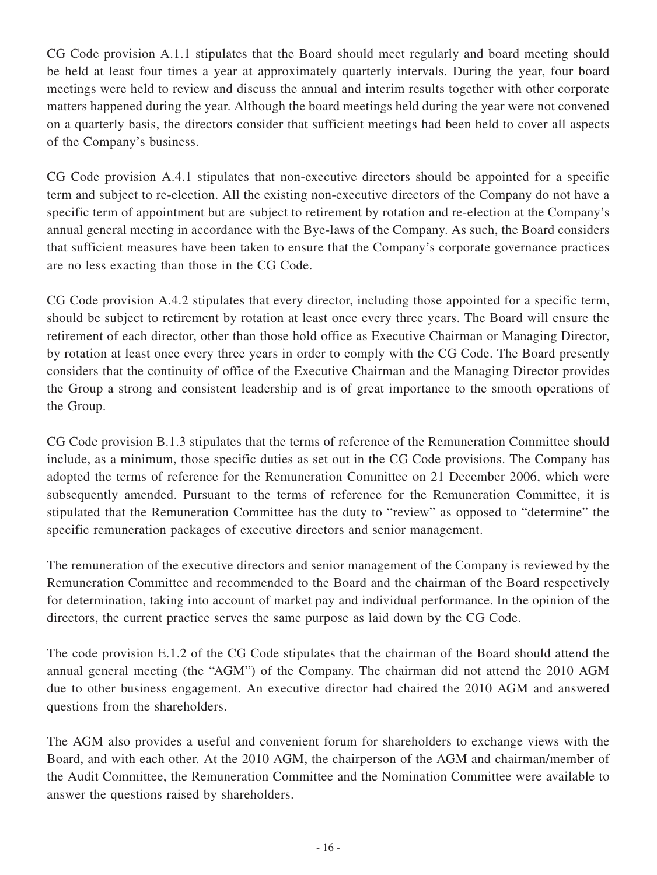CG Code provision A.1.1 stipulates that the Board should meet regularly and board meeting should be held at least four times a year at approximately quarterly intervals. During the year, four board meetings were held to review and discuss the annual and interim results together with other corporate matters happened during the year. Although the board meetings held during the year were not convened on a quarterly basis, the directors consider that sufficient meetings had been held to cover all aspects of the Company's business.

CG Code provision A.4.1 stipulates that non-executive directors should be appointed for a specific term and subject to re-election. All the existing non-executive directors of the Company do not have a specific term of appointment but are subject to retirement by rotation and re-election at the Company's annual general meeting in accordance with the Bye-laws of the Company. As such, the Board considers that sufficient measures have been taken to ensure that the Company's corporate governance practices are no less exacting than those in the CG Code.

CG Code provision A.4.2 stipulates that every director, including those appointed for a specific term, should be subject to retirement by rotation at least once every three years. The Board will ensure the retirement of each director, other than those hold office as Executive Chairman or Managing Director, by rotation at least once every three years in order to comply with the CG Code. The Board presently considers that the continuity of office of the Executive Chairman and the Managing Director provides the Group a strong and consistent leadership and is of great importance to the smooth operations of the Group.

CG Code provision B.1.3 stipulates that the terms of reference of the Remuneration Committee should include, as a minimum, those specific duties as set out in the CG Code provisions. The Company has adopted the terms of reference for the Remuneration Committee on 21 December 2006, which were subsequently amended. Pursuant to the terms of reference for the Remuneration Committee, it is stipulated that the Remuneration Committee has the duty to "review" as opposed to "determine" the specific remuneration packages of executive directors and senior management.

The remuneration of the executive directors and senior management of the Company is reviewed by the Remuneration Committee and recommended to the Board and the chairman of the Board respectively for determination, taking into account of market pay and individual performance. In the opinion of the directors, the current practice serves the same purpose as laid down by the CG Code.

The code provision E.1.2 of the CG Code stipulates that the chairman of the Board should attend the annual general meeting (the "AGM") of the Company. The chairman did not attend the 2010 AGM due to other business engagement. An executive director had chaired the 2010 AGM and answered questions from the shareholders.

The AGM also provides a useful and convenient forum for shareholders to exchange views with the Board, and with each other. At the 2010 AGM, the chairperson of the AGM and chairman/member of the Audit Committee, the Remuneration Committee and the Nomination Committee were available to answer the questions raised by shareholders.